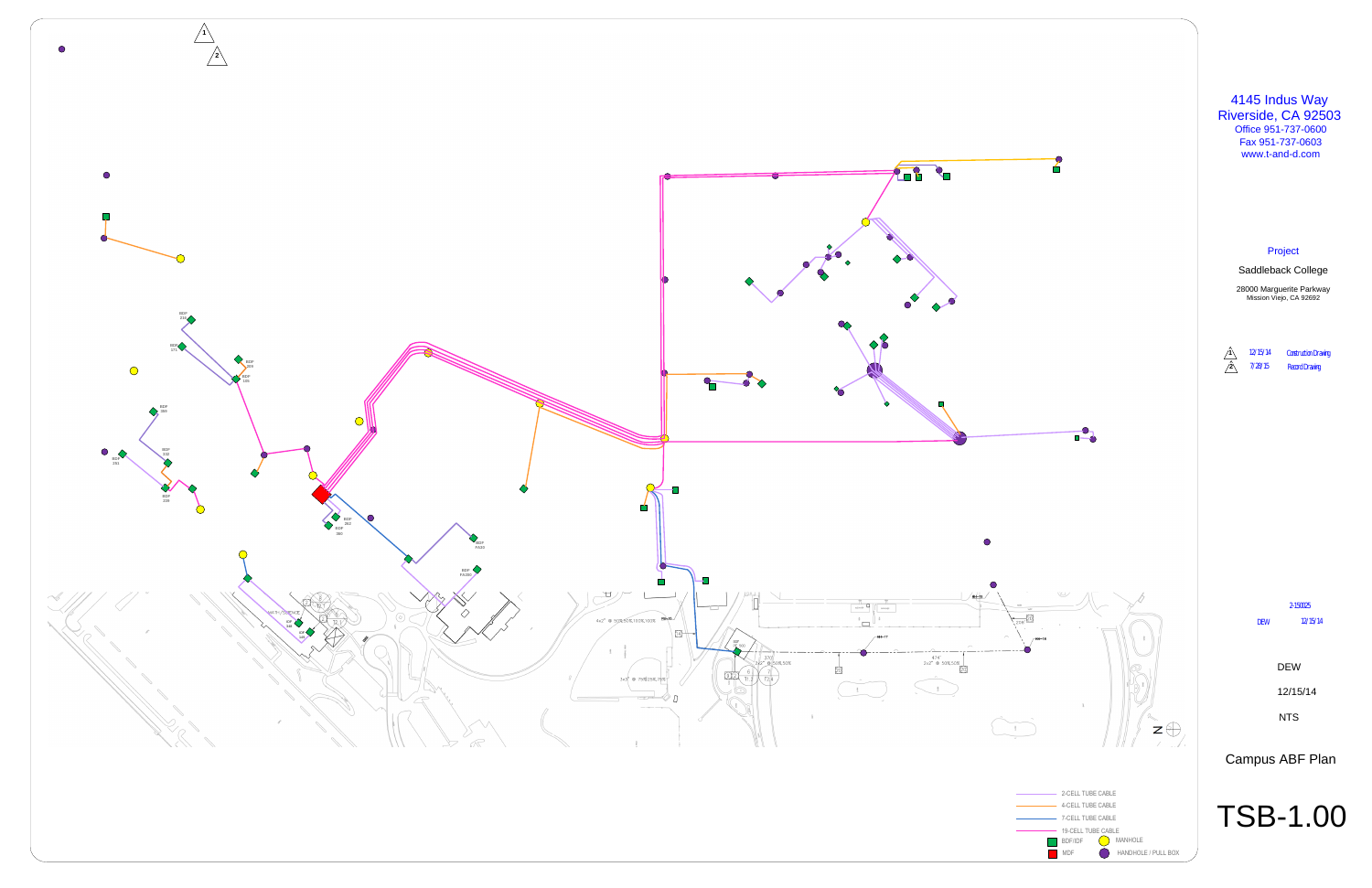# **South Orange County Community College District**

## **RFQ&P 2105: Architectural and Engineering Services**

## **2 Separate and Independent Projects at Saddleback College**

# **Project 1: Campus-wide Fire Alarm System, Fire Control Panel Replacement, and Science Building Smoke Detectors**

### **Project 2: Swimming Pool Equipment and Refurbishment**

#### **ADDENDUM NO. 1**

## **11/09/20**

#### *Nick Newkirk*

Purchasing and Contracts Manager

#### **Note:**

*All documents remain unchanged except section or parts added to, revised, deleted and/or clarified by this Addendum.*

- 1. The following documents are attached to this Addendum:
	- a. Air Blown Fiber (ABF) as-builts as of October 2015
	- b. Fire Alarm Backbone Architecture as of August 2018
	- c. List of Buildings with Sprinklers
	- d. All Campus Buildings with Square Footage
	- e. List of Firms in Attendance at the Pre-Proposal Meeting on 11/06/20
- 2. The responses to the Request for Information submitted by the deadline of 5:00 PM on November 4, 2020, as well as the responses to the questions asked during the mandatory pre-proposal meeting at 10:00 AM on November 6, 2020 are shown below:

Q1: Does the project have to have an Architect as a prime or can an Engineer propose as the prime?

A1: Both projects require full DSA submission (structural, access compliance and fire/life/safety to be certified, thus it is preferred to have an Architect submit to ensure all disciplines are properly coordinated.

Q2: Is there any architectural scope for the proposal?

A2: It is possible that based on the valuation of the project that ADA upgrades may be required. The package needs to be submitted to DSA, and will require a complete construction package for DSA review.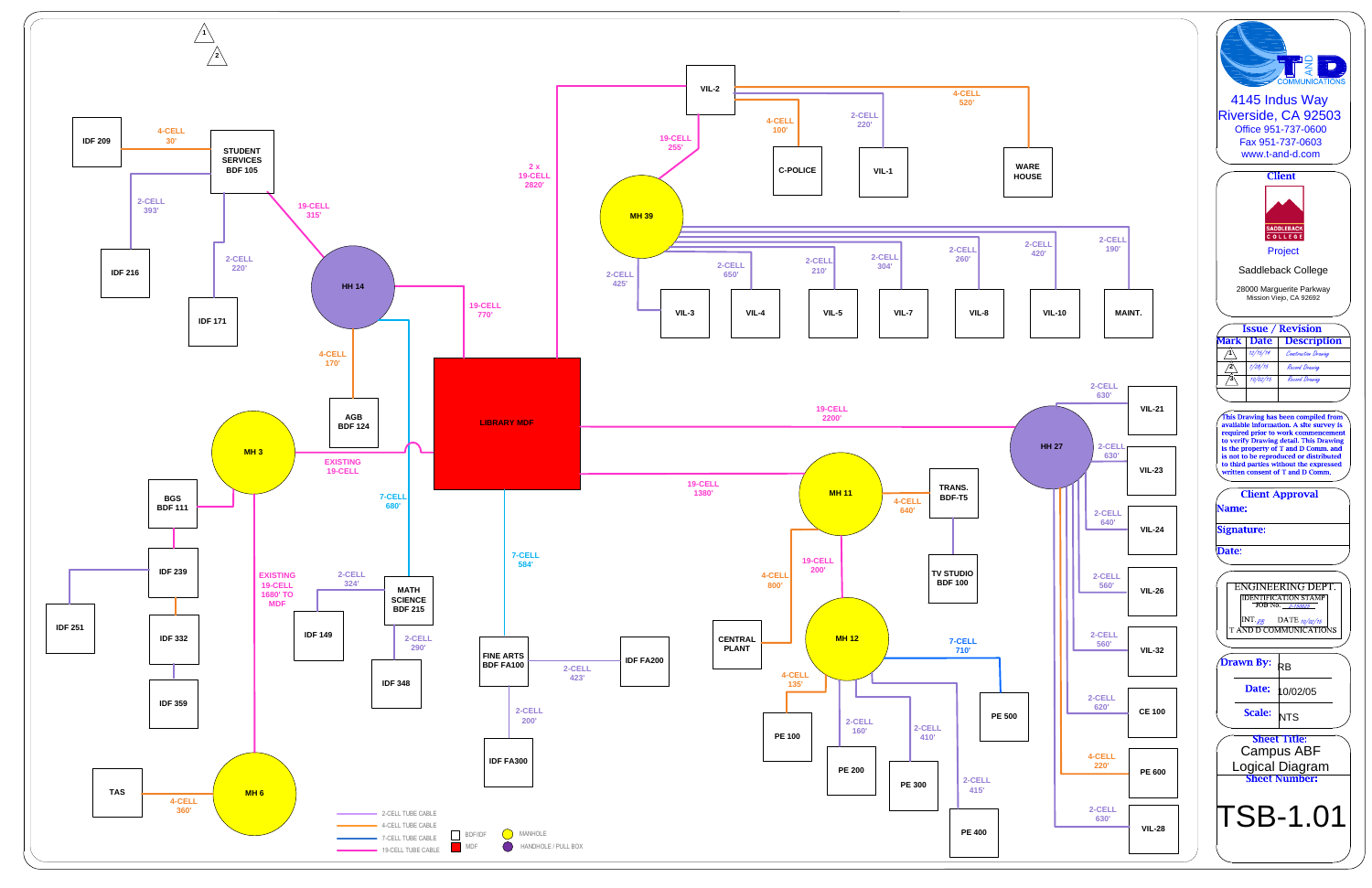Q3: In regards to Proposal Form C. Related Experience and Methodology: Under section 3. Related Experience of the Firm: We have several relevant projects that are currently in construction and have been DSA approved. Will you accept completion of design in this section?

A3: Completed projects are required.

Q4: Under section 3. Related Experience of the Firm: Our proposed project team members have several relevant projects completed at other firms within the last 5 years. May we include these projects in this section?

A4: Yes, however firms shall specifically denote that the proposed team member performed the services with another firm.

Q5: Under section 3. Related Experience of the Firm: Our proposed subconsultant team members have several relevant projects we'd like to include in this section. May we include these projects here?

A5: Yes, however firms shall specifically denote that the proposed subconsultant performed the services with another firm.

Q6: Is there a budget for each project?

A6: Project 1: \$1,500,000 Project 2: \$950,000

Q7: Project 1 Item 4 Scope of Services – Administrative Services paragraph 5 – LEED Gold does not appear to be appropriate for these projects. Please confirm this is not necessary.

A7: LEED Gold standards will not apply to these projects.

Q8: Project Specific Scope of Services Project 1, paragraph 1, Investigation of Existing Fire Alarm Systems: Are there as-builts available for every building? Are there DSA A-numbers for each of the existing fire alarm systems in each building? DSA will require this. Has it been confirmed that all of the existing devices in each building can be reused and are listed for use with the new fire alarm panels?

A8: The existing system is fully functional and all of the components can be reused provided they are compatible with the new system design. The DSA A-numbers will be provided to the selected firm. As part of Addendum No. 1, the District will include the Air Blown Fiber (ABF) as-builts as of October 2015 in PDF format, which do not include the new stadium, tennis center, science building, or revisions to the Child Development Center and public driving range building. The District will also include a schematic of the Fire Alarm Backbone Architecture as of August 2018 as part of Addendum No. 1.

Q9: Component 1: Specific Campus-wide System Replacement, paragraph 1 under Scope of Services: "All additional raceway or conductors required by the new equipment shall be a part of the design." How are we to put a fee to this when we won't know how much additional conduit and wiring is required until we actually design the project?

A9: Documents listed in response A8 should provide the basis for the information requested.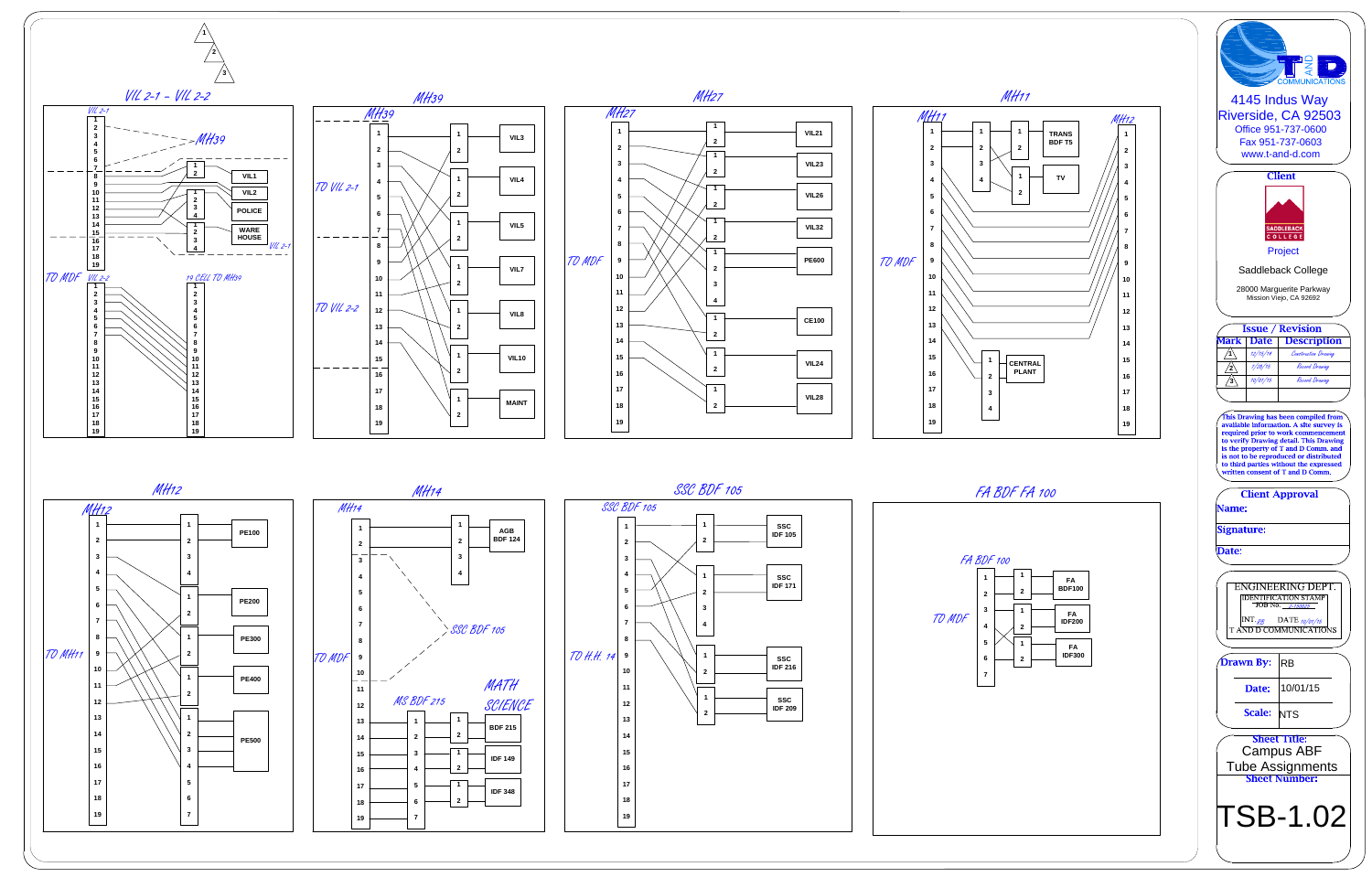Q10: Component 2 – Complete area detection is required for the Science Building. What is the expectation for the new wiring? Is all of it supposed to be concealed? Can exposed raceway be used? Will we need to include painting and patching in our scope of work?

A10: The building is 95% T-Bar ceiling, surface mounted/exposed raceways will not be acceptable. All wiring shall be concealed unless it is deemed acceptable by the District during the design phase. If any dry cut/patch is required, it shall be included within the design scope.

Q11: Does the District have a preferred manufacturer or District Standard for the Fire Alarm System?

A11: The basis of design shall be Notifier.

Q12: Is the District interested in a Mass Communication / Fire Alarm System?

A12: The District is not interested in a Mass Communication / Fire Alarm System for the panel replacement component of the project. The smoke detector replacement component of the project may be subject to DSA requirements/enhancements to be code compliant.

Q13: Verify the intent of the project is to replace all existing Fire Alarm Control Panels and associated "headend" communication/control equipment only, with all existing field initiating and notification devices to remain, with exceptions of code required modifications.

A13: The panel replacement project component is a replacement in kind project.

Q14: Request identification of quantity of site Buildings and facilities to be involved within project scope for fire monitoring network & FACP upgrades.

A14: The building list is provided as part of Addendum No.1.

Q15: Request quantity of existing Fire Alarm Control Panels to be replaced/upgraded within project scope.

A15: See A14.

Q16: Verify or clarify the project Intent is not the complete upgrade of all initiating and notification devices with the buildings to be involved within project scope upgrades.

A16: Confirmed, this is not a project to upgrade the initiating and notification devices.

Q17: Verify the intent of project is to replace all existing Duct Smoke Detection with Area Smoke Detection coverage within a protected space currently served by the Smoke Duct Detection, with exceptions of code required modifications.

A17: This scope of services is only required for the Science Building.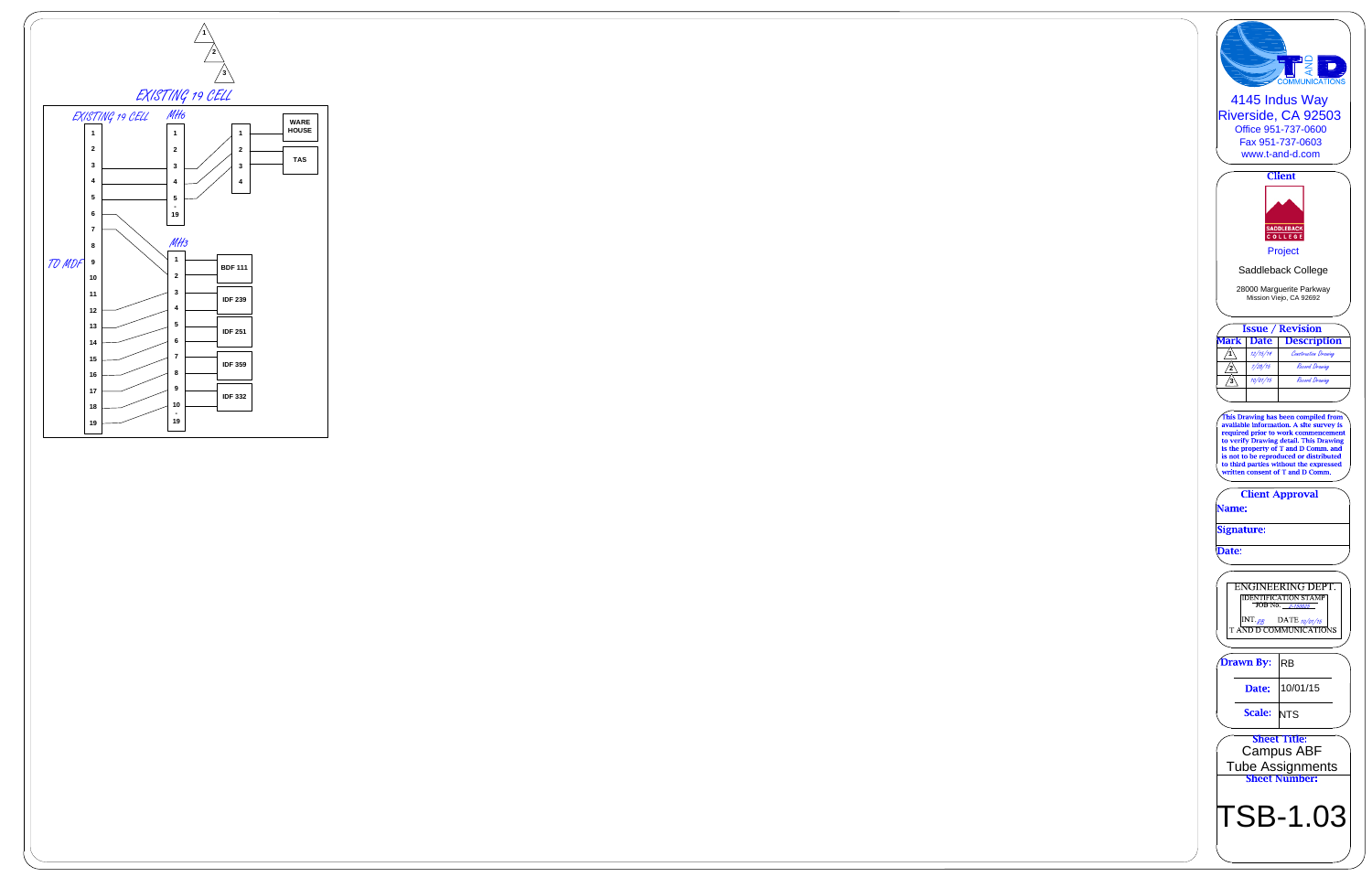Q18: Verify or clarify the project Intent is not the complete upgrade of all other initiating and notification devices with the Science Building to be involved within project scope upgrades.

A18: Confirmed, this is not a project to upgrade the initiating and notification devices.

Q19: Is there any chance the diving platform will be abandoned? What is a "vision window" in the pool?

A19: The diving platform will not be abandoned. Per the scope of services identified in the RFQ&P the services for the diving board shall include a structural assessment followed by a recommendation for repairs. The large pool's vision window was removed and infilled about 10 years ago. The vision window appears to have rusting on the structural members/rebar and per the scope of services identified in the RFQ&P, the services for the vision window shall include a structural assessment followed by a recommendation for repairs.

Q20: Is the District Controlled Allowance a maximum fee?

A20: The District Controlled Allowance for each project is set at a Not to Exceed Fee as identified on Proposal Form E Fee and Rate Proposal. See Appendix D Sample Agreement for language related to the terms and conditions for the District Controlled Allowance.

Q21: What is the square footage for the fire alarm project? How many buildings are there in the campus?

A21: The building list will be provided as part of Addendum No.1.

Q22: About how old is the Science Building at Saddleback?

A22: The Science Building at Saddleback is five (5) years old.

Q23: Can a campus site walk be arranged? And if not as an overall group, can we go individually?

A23: The District will be hosting an optional site walk on Thursday November 12, 2020 from 9:00 a.m. to 11:00 a.m. Contractors interested in this site visit are required to RSVP by emailing Louis Sessler at [lsessler@saddleback.edu.](mailto:lsessler@saddleback.edu) Further instruction will be given to those who email their RSVP.

Q24: Confirm Proposal Form F and Appendix E are not required submissions in our proposal.

A24: Proposal Form F is a required form and shall be submitted with your firm's proposal. Appendix E is not a required form.

Q25: Will an attendee list of firms for today's meeting be posted for reference?

A25: A list of the firms present at the pre-proposal meeting is attached to this Addendum.